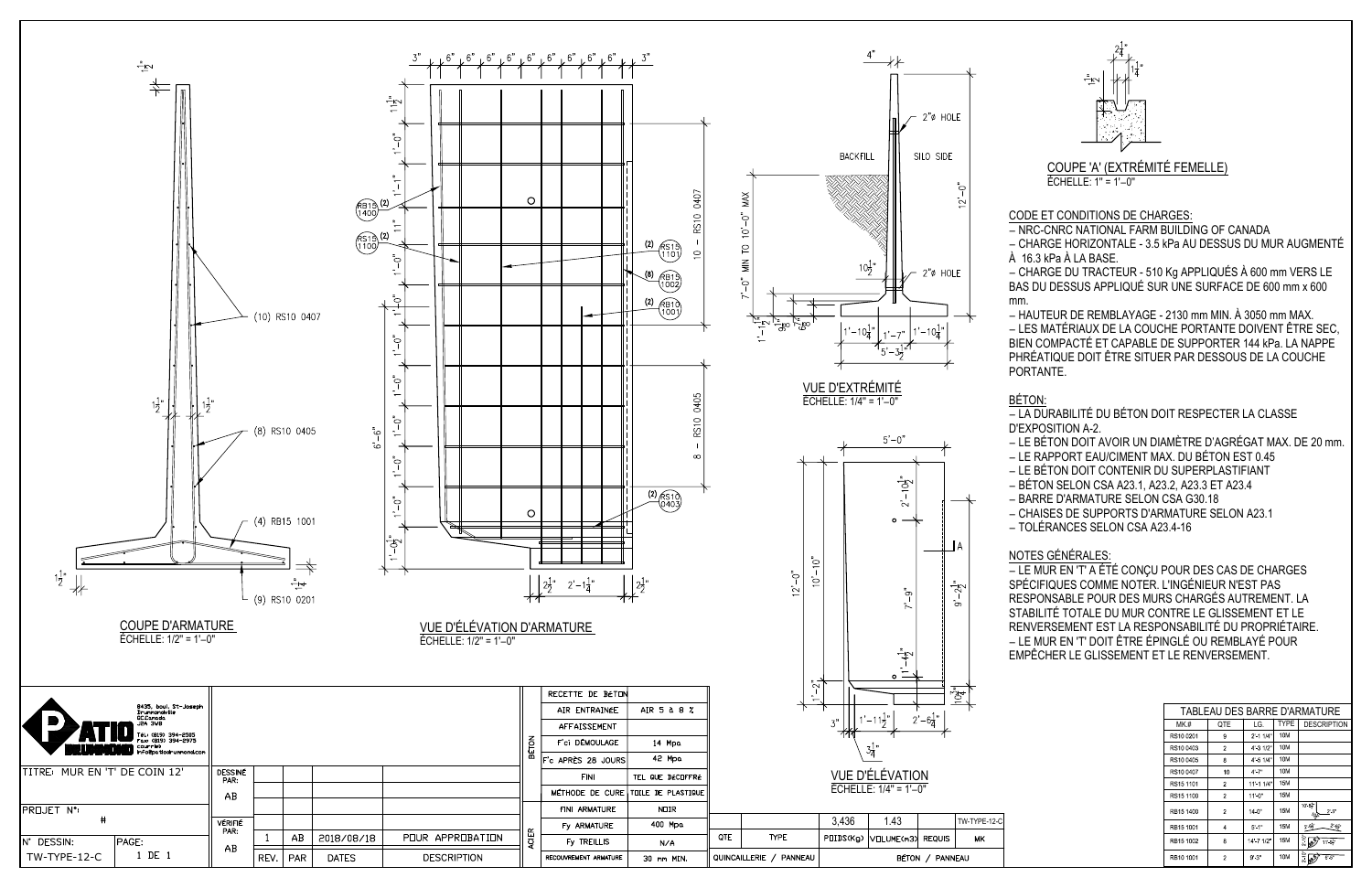| TABLEAU DES BARRE D'ARMATURE |                         |             |             |                                                                                         |  |  |
|------------------------------|-------------------------|-------------|-------------|-----------------------------------------------------------------------------------------|--|--|
| MK.#                         | QTE                     | LG.         | <b>TYPE</b> | <b>DESCRIPTION</b>                                                                      |  |  |
| RS10 0201                    | 9                       | $2'$ 1 1/4" | 10M         |                                                                                         |  |  |
| RS10 0403                    | $\overline{\mathbf{c}}$ | 4' 3 1/2"   | 10M         |                                                                                         |  |  |
| RS10 0405                    | 8                       | 4' 5 1/4"   | 10M         |                                                                                         |  |  |
| RS10 0407                    | 10                      | $4' - 7''$  | 10M         |                                                                                         |  |  |
| RS15 1101                    | 2                       | 11' 1 1/4"  | <b>15M</b>  |                                                                                         |  |  |
| RS15 1100                    | 2                       | 11'0''      | 15M         |                                                                                         |  |  |
| RB15 1400                    | $\overline{2}$          | 14 0"       | <b>15M</b>  | $10' - 8'$<br>$2 - 5"$<br>107.                                                          |  |  |
| RB15 1001                    | 4                       | $5' - 1''$  | 15M         | $2 - 6\frac{1}{2}$<br>$2^\prime$ -6 $\hspace{-0.1cm}\rule{0.7pt}{0.1cm}\hspace{-0.1cm}$ |  |  |
| RB15 1002                    | 8                       | 14' 7 1/2"  | <b>15M</b>  | $rac{1}{2}$<br>11'9'                                                                    |  |  |
| RB10 1001                    | $\overline{c}$          | 9'3"        | 10M         | $2 - 10^{-6}$<br>6.5"<br><b>B</b> <sup>59</sup>                                         |  |  |

CODE ET CONDITIONS DE CHARGES:

− NRC-CNRC NATIONAL FARM BUILDING OF CANADA

− CHARGE HORIZONTALE - 3.5 kPa AU DESSUS DU MUR AUGMENTÉ À 16.3 kPa À LA BASE.

− CHARGE DU TRACTEUR - 510 Kg APPLIQUÉS À 600 mm VERS LE BAS DU DESSUS APPLIQUÉ SUR UNE SURFACE DE 600 mm x 600 mm.

− HAUTEUR DE REMBLAYAGE - 2130 mm MIN. À 3050 mm MAX. − LES MATÉRIAUX DE LA COUCHE PORTANTE DOIVENT ÊTRE SEC, BIEN COMPACTÉ ET CAPABLE DE SUPPORTER 144 kPa. LA NAPPE PHRÉATIQUE DOIT ÊTRE SITUER PAR DESSOUS DE LA COUCHE PORTANTE.

# BÉTON:

− LA DURABILITÉ DU BÉTON DOIT RESPECTER LA CLASSE D'EXPOSITION A-2.





- − LE BÉTON DOIT AVOIR UN DIAMÈTRE D'AGRÉGAT MAX. DE 20 mm.
- − LE RAPPORT EAU/CIMENT MAX. DU BÉTON EST 0.45
- − LE BÉTON DOIT CONTENIR DU SUPERPLASTIFIANT
- − BÉTON SELON CSA A23.1, A23.2, A23.3 ET A23.4
- − BARRE D'ARMATURE SELON CSA G30.18
- − CHAISES DE SUPPORTS D'ARMATURE SELON A23.1
- − TOLÉRANCES SELON CSA A23.4-16

## NOTES GÉNÉRALES:

− LE MUR EN 'T' A ÉTÉ CONÇU POUR DES CAS DE CHARGES SPÉCIFIQUES COMME NOTER. L'INGÉNIEUR N'EST PAS RESPONSABLE POUR DES MURS CHARGÉS AUTREMENT. LA STABILITÉ TOTALE DU MUR CONTRE LE GLISSEMENT ET LE RENVERSEMENT EST LA RESPONSABILITÉ DU PROPRIÉTAIRE. − LE MUR EN 'T' DOIT ÊTRE ÉPINGLÉ OU REMBLAYÉ POUR EMPÊCHER LE GLISSEMENT ET LE RENVERSEMENT.

### COUPE 'A' (EXTRÉMITÉ FEMELLE) ÉCHELLE: 1'' = 1'−0''